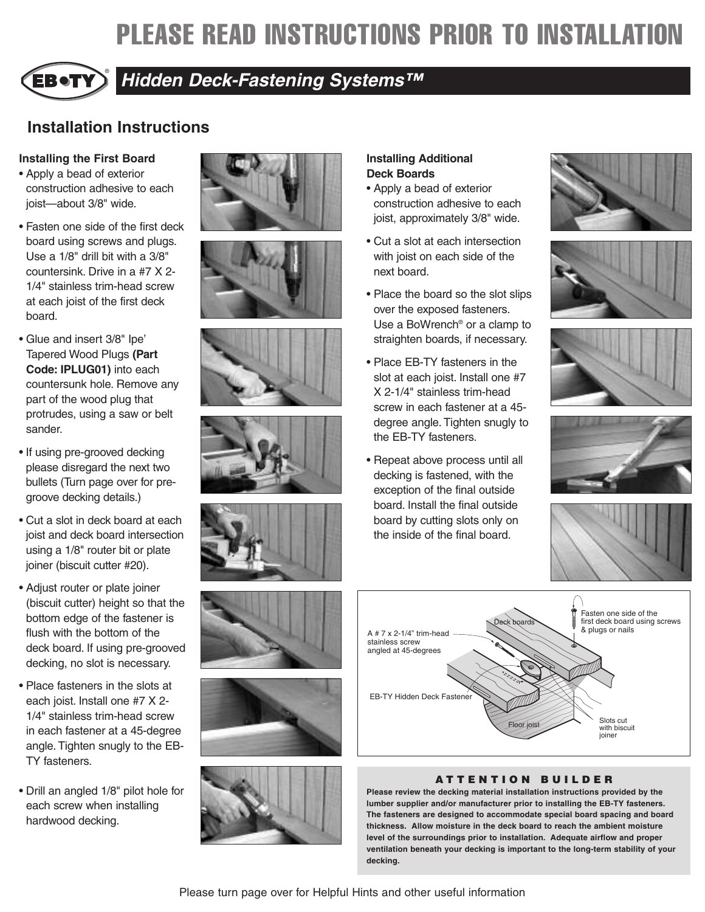# **PLEASE READ INSTRUCTIONS PRIOR TO INSTALLATION**



# *Hidden Deck-Fastening Systems™*

# **Installation Instructions**

### **Installing the First Board**

- Apply a bead of exterior construction adhesive to each joist—about 3/8" wide.
- Fasten one side of the first deck board using screws and plugs. Use a 1/8" drill bit with a 3/8" countersink. Drive in a #7 X 2- 1/4" stainless trim-head screw at each joist of the first deck board.
- Glue and insert 3/8" Ipe' Tapered Wood Plugs **(Part Code: IPLUG01)** into each countersunk hole. Remove any part of the wood plug that protrudes, using a saw or belt sander.
- If using pre-grooved decking please disregard the next two bullets (Turn page over for pregroove decking details.)
- Cut a slot in deck board at each joist and deck board intersection using a 1/8" router bit or plate joiner (biscuit cutter #20).
- Adjust router or plate joiner (biscuit cutter) height so that the bottom edge of the fastener is flush with the bottom of the deck board. If using pre-grooved decking, no slot is necessary.
- Place fasteners in the slots at each joist. Install one #7 X 2- 1/4" stainless trim-head screw in each fastener at a 45-degree angle. Tighten snugly to the EB-TY fasteners.
- Drill an angled 1/8" pilot hole for each screw when installing hardwood decking.

















## **Installing Additional Deck Boards**

- Apply a bead of exterior construction adhesive to each joist, approximately 3/8" wide.
- Cut a slot at each intersection with joist on each side of the next board.
- Place the board so the slot slips over the exposed fasteners. Use a BoWrench® or a clamp to straighten boards, if necessary.
- Place EB-TY fasteners in the slot at each joist. Install one #7 X 2-1/4" stainless trim-head screw in each fastener at a 45 degree angle. Tighten snugly to the EB-TY fasteners.
- Repeat above process until all decking is fastened, with the exception of the final outside board. Install the final outside board by cutting slots only on the inside of the final board.













### **A TTENTION BUILDER**

**Please review the decking material installation instructions provided by the lumber supplier and/or manufacturer prior to installing the EB-TY fasteners. The fasteners are designed to accommodate special board spacing and board thickness. Allow moisture in the deck board to reach the ambient moisture level of the surroundings prior to installation. Adequate airflow and proper ventilation beneath your decking is important to the long-term stability of your decking.**